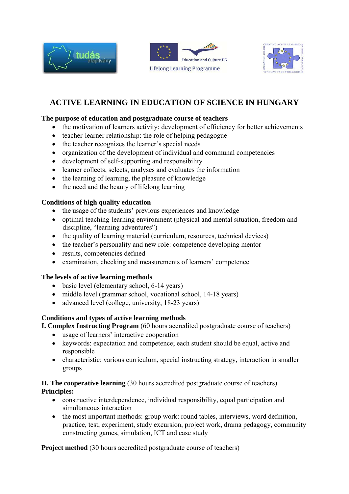





# **ACTIVE LEARNING IN EDUCATION OF SCIENCE IN HUNGARY**

## **The purpose of education and postgraduate course of teachers**

- the motivation of learners activity: development of efficiency for better achievements
- teacher-learner relationship: the role of helping pedagogue
- the teacher recognizes the learner's special needs
- organization of the development of individual and communal competencies
- development of self-supporting and responsibility
- learner collects, selects, analyses and evaluates the information
- the learning of learning, the pleasure of knowledge
- the need and the beauty of lifelong learning

# **Conditions of high quality education**

- the usage of the students' previous experiences and knowledge
- optimal teaching-learning environment (physical and mental situation, freedom and discipline, "learning adventures")
- the quality of learning material (curriculum, resources, technical devices)
- the teacher's personality and new role: competence developing mentor
- results, competencies defined
- examination, checking and measurements of learners' competence

## **The levels of active learning methods**

- basic level (elementary school, 6-14 years)
- middle level (grammar school, vocational school, 14-18 years)
- advanced level (college, university, 18-23 years)

## **Conditions and types of active learning methods**

## **I. Complex Instructing Program** (60 hours accredited postgraduate course of teachers)

- usage of learners' interactive cooperation
- keywords: expectation and competence; each student should be equal, active and responsible
- characteristic: various curriculum, special instructing strategy, interaction in smaller groups

# **II. The cooperative learning** (30 hours accredited postgraduate course of teachers) **Principles:**

- constructive interdependence, individual responsibility, equal participation and simultaneous interaction
- the most important methods: group work: round tables, interviews, word definition, practice, test, experiment, study excursion, project work, drama pedagogy, community constructing games, simulation, ICT and case study

**Project method** (30 hours accredited postgraduate course of teachers)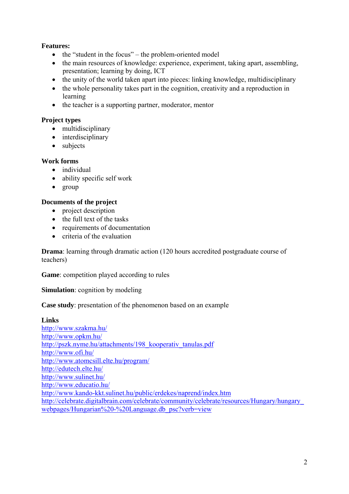# **Features:**

- the "student in the focus" the problem-oriented model
- the main resources of knowledge: experience, experiment, taking apart, assembling, presentation; learning by doing, ICT
- the unity of the world taken apart into pieces: linking knowledge, multidisciplinary
- the whole personality takes part in the cognition, creativity and a reproduction in learning
- the teacher is a supporting partner, moderator, mentor

# **Project types**

- multidisciplinary
- interdisciplinary
- subjects

## **Work forms**

- individual
- ability specific self work
- group

## **Documents of the project**

- project description
- the full text of the tasks
- requirements of documentation
- criteria of the evaluation

**Drama**: learning through dramatic action (120 hours accredited postgraduate course of teachers)

**Game**: competition played according to rules

## **Simulation**: cognition by modeling

## **Case study**: presentation of the phenomenon based on an example

#### **Links**

http://www.szakma.hu/ http://www.opkm.hu/ http://pszk.nyme.hu/attachments/198\_kooperativ\_tanulas.pdf http://www.ofi.hu/ http://www.atomcsill.elte.hu/program/ http://edutech.elte.hu/ http://www.sulinet.hu/ http://www.educatio.hu/ http://www.kando-kkt.sulinet.hu/public/erdekes/naprend/index.htm http://celebrate.digitalbrain.com/celebrate/community/celebrate/resources/Hungary/hungary\_ webpages/Hungarian%20-%20Language.db\_psc?verb=view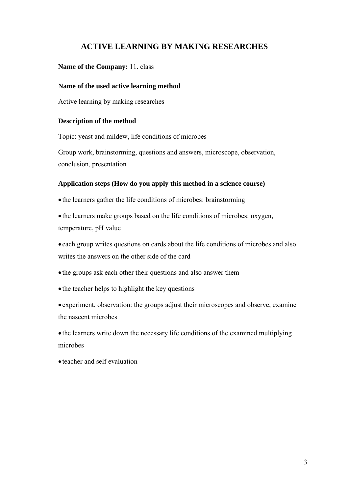# **ACTIVE LEARNING BY MAKING RESEARCHES**

### **Name of the Company:** 11. class

#### **Name of the used active learning method**

Active learning by making researches

#### **Description of the method**

Topic: yeast and mildew, life conditions of microbes

Group work, brainstorming, questions and answers, microscope, observation, conclusion, presentation

#### **Application steps (How do you apply this method in a science course)**

• the learners gather the life conditions of microbes: brainstorming

• the learners make groups based on the life conditions of microbes: oxygen, temperature, pH value

• each group writes questions on cards about the life conditions of microbes and also writes the answers on the other side of the card

- the groups ask each other their questions and also answer them
- the teacher helps to highlight the key questions

• experiment, observation: the groups adjust their microscopes and observe, examine the nascent microbes

• the learners write down the necessary life conditions of the examined multiplying microbes

• teacher and self evaluation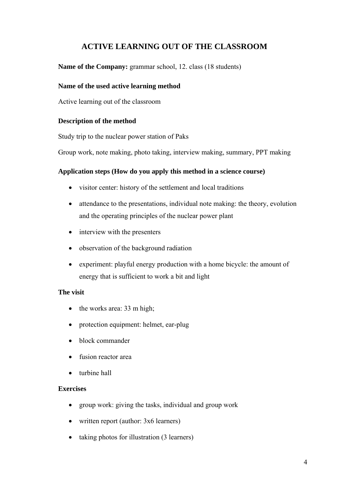# **ACTIVE LEARNING OUT OF THE CLASSROOM**

**Name of the Company:** grammar school, 12. class (18 students)

### **Name of the used active learning method**

Active learning out of the classroom

## **Description of the method**

Study trip to the nuclear power station of Paks

Group work, note making, photo taking, interview making, summary, PPT making

## **Application steps (How do you apply this method in a science course)**

- visitor center: history of the settlement and local traditions
- attendance to the presentations, individual note making: the theory, evolution and the operating principles of the nuclear power plant
- interview with the presenters
- observation of the background radiation
- experiment: playful energy production with a home bicycle: the amount of energy that is sufficient to work a bit and light

## **The visit**

- the works area: 33 m high;
- protection equipment: helmet, ear-plug
- block commander
- fusion reactor area
- turbine hall

#### **Exercises**

- group work: giving the tasks, individual and group work
- written report (author: 3x6 learners)
- taking photos for illustration (3 learners)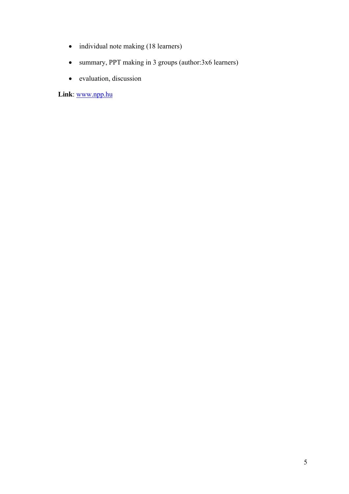- individual note making (18 learners)
- summary, PPT making in 3 groups (author:3x6 learners)
- evaluation, discussion

**Link**: www.npp.hu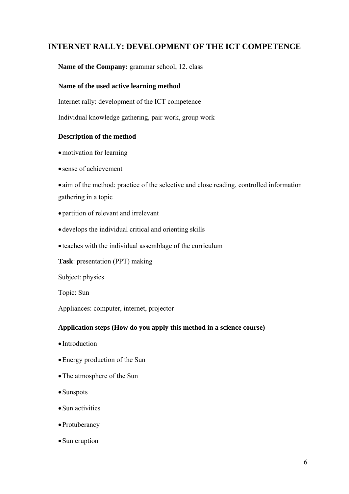# **INTERNET RALLY: DEVELOPMENT OF THE ICT COMPETENCE**

## **Name of the Company:** grammar school, 12. class

#### **Name of the used active learning method**

Internet rally: development of the ICT competence

Individual knowledge gathering, pair work, group work

#### **Description of the method**

- motivation for learning
- sense of achievement

• aim of the method: practice of the selective and close reading, controlled information gathering in a topic

- partition of relevant and irrelevant
- develops the individual critical and orienting skills
- teaches with the individual assemblage of the curriculum

**Task**: presentation (PPT) making

Subject: physics

Topic: Sun

Appliances: computer, internet, projector

#### **Application steps (How do you apply this method in a science course)**

- Introduction
- •Energy production of the Sun
- •The atmosphere of the Sun
- •Sunspots
- Sun activities
- •Protuberancy
- Sun eruption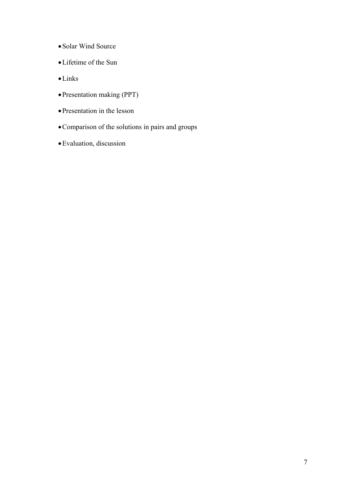- •Solar Wind Source
- •Lifetime of the Sun
- •Links
- •Presentation making (PPT)
- •Presentation in the lesson
- •Comparison of the solutions in pairs and groups
- •Evaluation, discussion